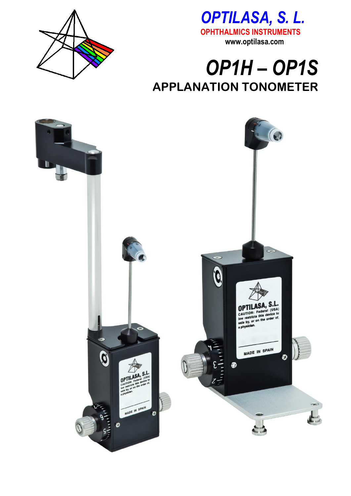



## OP1H-OP1S **APPLANATION TONOMETER**